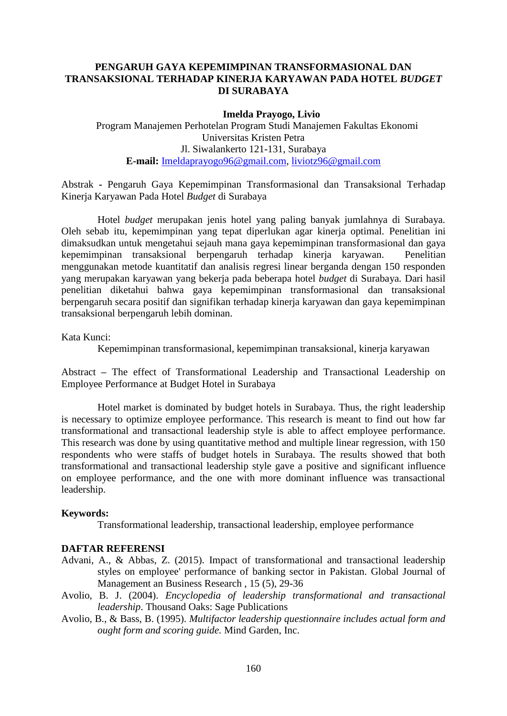## **PENGARUH GAYA KEPEMIMPINAN TRANSFORMASIONAL DAN TRANSAKSIONAL TERHADAP KINERJA KARYAWAN PADA HOTEL** *BUDGET* **DI SURABAYA**

## **Imelda Prayogo, Livio**

Program Manajemen Perhotelan Program Studi Manajemen Fakultas Ekonomi Universitas Kristen Petra Jl. Siwalankerto 121-131, Surabaya **E-mail:** [Imeldaprayogo96@gmail.com,](mailto:Imeldaprayogo96@gmail.com) [liviotz96@gmail.com](mailto:liviotz96@gmail.com)

Abstrak **-** Pengaruh Gaya Kepemimpinan Transformasional dan Transaksional Terhadap Kinerja Karyawan Pada Hotel *Budget* di Surabaya

Hotel *budget* merupakan jenis hotel yang paling banyak jumlahnya di Surabaya. Oleh sebab itu, kepemimpinan yang tepat diperlukan agar kinerja optimal*.* Penelitian ini dimaksudkan untuk mengetahui sejauh mana gaya kepemimpinan transformasional dan gaya kepemimpinan transaksional berpengaruh terhadap kinerja karyawan. Penelitian menggunakan metode kuantitatif dan analisis regresi linear berganda dengan 150 responden yang merupakan karyawan yang bekerja pada beberapa hotel *budget* di Surabaya. Dari hasil penelitian diketahui bahwa gaya kepemimpinan transformasional dan transaksional berpengaruh secara positif dan signifikan terhadap kinerja karyawan dan gaya kepemimpinan transaksional berpengaruh lebih dominan.

Kata Kunci:

Kepemimpinan transformasional, kepemimpinan transaksional, kinerja karyawan

Abstract **–** The effect of Transformational Leadership and Transactional Leadership on Employee Performance at Budget Hotel in Surabaya

Hotel market is dominated by budget hotels in Surabaya. Thus, the right leadership is necessary to optimize employee performance. This research is meant to find out how far transformational and transactional leadership style is able to affect employee performance. This research was done by using quantitative method and multiple linear regression, with 150 respondents who were staffs of budget hotels in Surabaya. The results showed that both transformational and transactional leadership style gave a positive and significant influence on employee performance, and the one with more dominant influence was transactional leadership.

## **Keywords:**

Transformational leadership, transactional leadership, employee performance

## **DAFTAR REFERENSI**

- Advani, A., & Abbas, Z. (2015). Impact of transformational and transactional leadership styles on employee' performance of banking sector in Pakistan. Global Journal of Management an Business Research , 15 (5), 29-36
- Avolio, B. J. (2004). *Encyclopedia of leadership transformational and transactional leadership*. Thousand Oaks: Sage Publications
- Avolio, B., & Bass, B. (1995). *Multifactor leadership questionnaire includes actual form and ought form and scoring guide.* Mind Garden, Inc.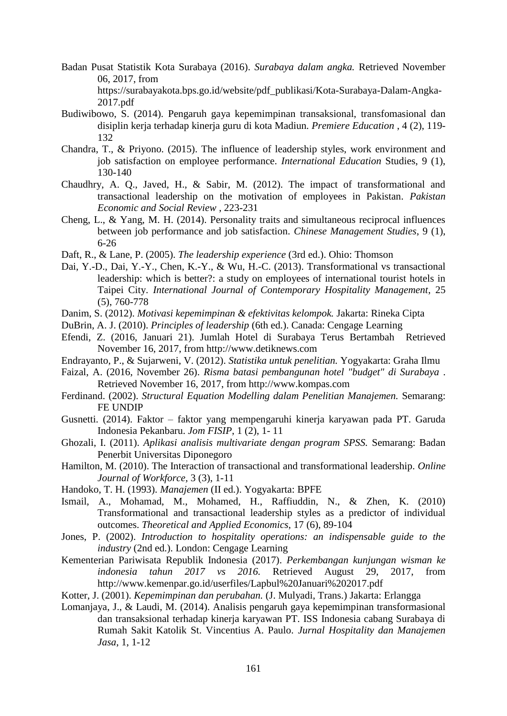- Badan Pusat Statistik Kota Surabaya (2016). *Surabaya dalam angka.* Retrieved November 06, 2017, from https://surabayakota.bps.go.id/website/pdf\_publikasi/Kota-Surabaya-Dalam-Angka-2017.pdf
- Budiwibowo, S. (2014). Pengaruh gaya kepemimpinan transaksional, transfomasional dan disiplin kerja terhadap kinerja guru di kota Madiun. *Premiere Education* , 4 (2), 119- 132
- Chandra, T., & Priyono. (2015). The influence of leadership styles, work environment and job satisfaction on employee performance. *International Education* Studies, 9 (1), 130-140
- Chaudhry, A. Q., Javed, H., & Sabir, M. (2012). The impact of transformational and transactional leadership on the motivation of employees in Pakistan. *Pakistan Economic and Social Review* , 223-231
- Cheng, L., & Yang, M. H. (2014). Personality traits and simultaneous reciprocal influences between job performance and job satisfaction. *Chinese Management Studies*, 9 (1), 6-26
- Daft, R., & Lane, P. (2005). *The leadership experience* (3rd ed.). Ohio: Thomson
- Dai, Y.-D., Dai, Y.-Y., Chen, K.-Y., & Wu, H.-C. (2013). Transformational vs transactional leadership: which is better?: a study on employees of international tourist hotels in Taipei City. *International Journal of Contemporary Hospitality Management*, 25 (5), 760-778
- Danim, S. (2012). *Motivasi kepemimpinan & efektivitas kelompok.* Jakarta: Rineka Cipta
- DuBrin, A. J. (2010). *Principles of leadership* (6th ed.). Canada: Cengage Learning
- Efendi, Z. (2016, Januari 21). Jumlah Hotel di Surabaya Terus Bertambah Retrieved November 16, 2017, from http://www.detiknews.com
- Endrayanto, P., & Sujarweni, V. (2012). *Statistika untuk penelitian.* Yogyakarta: Graha Ilmu
- Faizal, A. (2016, November 26). *Risma batasi pembangunan hotel "budget" di Surabaya* . Retrieved November 16, 2017, from http://www.kompas.com
- Ferdinand. (2002). *Structural Equation Modelling dalam Penelitian Manajemen.* Semarang: FE UNDIP
- Gusnetti. (2014). Faktor faktor yang mempengaruhi kinerja karyawan pada PT. Garuda Indonesia Pekanbaru. *Jom FISIP*, 1 (2), 1- 11
- Ghozali, I. (2011). *Aplikasi analisis multivariate dengan program SPSS.* Semarang: Badan Penerbit Universitas Diponegoro
- Hamilton, M. (2010). The Interaction of transactional and transformational leadership. *Online Journal of Workforce,* 3 (3), 1-11
- Handoko, T. H. (1993). *Manajemen* (II ed.). Yogyakarta: BPFE
- Ismail, A., Mohamad, M., Mohamed, H., Raffiuddin, N., & Zhen, K. (2010) Transformational and transactional leadership styles as a predictor of individual outcomes. *Theoretical and Applied Economics*, 17 (6), 89-104
- Jones, P. (2002). *Introduction to hospitality operations: an indispensable guide to the industry* (2nd ed.). London: Cengage Learning
- Kementerian Pariwisata Republik Indonesia (2017). *Perkembangan kunjungan wisman ke indonesia tahun 2017 vs 2016.* Retrieved August 29, 2017, from http://www.kemenpar.go.id/userfiles/Lapbul%20Januari%202017.pdf
- Kotter, J. (2001). *Kepemimpinan dan perubahan.* (J. Mulyadi, Trans.) Jakarta: Erlangga
- Lomanjaya, J., & Laudi, M. (2014). Analisis pengaruh gaya kepemimpinan transformasional dan transaksional terhadap kinerja karyawan PT. ISS Indonesia cabang Surabaya di Rumah Sakit Katolik St. Vincentius A. Paulo. *Jurnal Hospitality dan Manajemen Jasa*, 1, 1-12